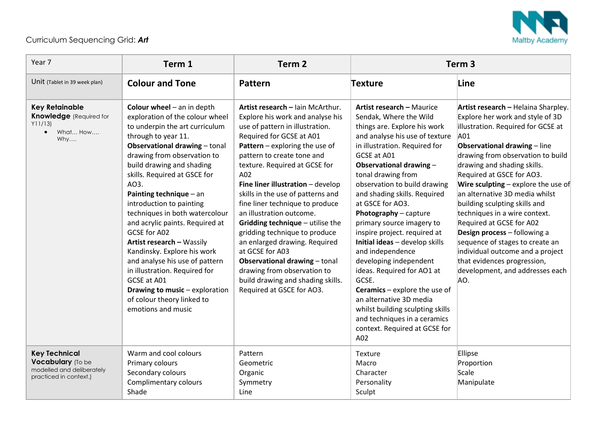

## Curriculum Sequencing Grid: *Art*

| Year 7                                                                                            | Term 1                                                                                                                                                                                                                                                                                                                                                                                                                                                                                                                                                                                                                                               | Term <sub>2</sub>                                                                                                                                                                                                                                                                                                                                                                                                                                                                                                                                                                                                                                      | Term <sub>3</sub>                                                                                                                                                                                                                                                                                                                                                                                                                                                                                                                                                                                                                                                                                             |                                                                                                                                                                                                                                                                                                                                                                                                                                                                                                                                                                                                                            |
|---------------------------------------------------------------------------------------------------|------------------------------------------------------------------------------------------------------------------------------------------------------------------------------------------------------------------------------------------------------------------------------------------------------------------------------------------------------------------------------------------------------------------------------------------------------------------------------------------------------------------------------------------------------------------------------------------------------------------------------------------------------|--------------------------------------------------------------------------------------------------------------------------------------------------------------------------------------------------------------------------------------------------------------------------------------------------------------------------------------------------------------------------------------------------------------------------------------------------------------------------------------------------------------------------------------------------------------------------------------------------------------------------------------------------------|---------------------------------------------------------------------------------------------------------------------------------------------------------------------------------------------------------------------------------------------------------------------------------------------------------------------------------------------------------------------------------------------------------------------------------------------------------------------------------------------------------------------------------------------------------------------------------------------------------------------------------------------------------------------------------------------------------------|----------------------------------------------------------------------------------------------------------------------------------------------------------------------------------------------------------------------------------------------------------------------------------------------------------------------------------------------------------------------------------------------------------------------------------------------------------------------------------------------------------------------------------------------------------------------------------------------------------------------------|
| Unit (Tablet in 39 week plan)                                                                     | <b>Colour and Tone</b>                                                                                                                                                                                                                                                                                                                                                                                                                                                                                                                                                                                                                               | Pattern                                                                                                                                                                                                                                                                                                                                                                                                                                                                                                                                                                                                                                                | <b>Texture</b>                                                                                                                                                                                                                                                                                                                                                                                                                                                                                                                                                                                                                                                                                                | Line                                                                                                                                                                                                                                                                                                                                                                                                                                                                                                                                                                                                                       |
| <b>Key Retainable</b><br><b>Knowledge</b> (Required for<br>Y11/13<br>What How<br>$\bullet$<br>Why | Colour wheel $-$ an in depth<br>exploration of the colour wheel<br>to underpin the art curriculum<br>through to year 11.<br><b>Observational drawing - tonal</b><br>drawing from observation to<br>build drawing and shading<br>skills. Required at GSCE for<br>AO3.<br>Painting technique - an<br>introduction to painting<br>techniques in both watercolour<br>and acrylic paints. Required at<br>GCSE for A02<br>Artist research - Wassily<br>Kandinsky. Explore his work<br>and analyse his use of pattern<br>in illustration. Required for<br>GCSE at A01<br>Drawing to music - exploration<br>of colour theory linked to<br>emotions and music | Artist research - Iain McArthur.<br>Explore his work and analyse his<br>use of pattern in illustration.<br>Required for GCSE at A01<br><b>Pattern</b> – exploring the use of<br>pattern to create tone and<br>texture. Required at GCSE for<br>A02<br>Fine liner illustration - develop<br>skills in the use of patterns and<br>fine liner technique to produce<br>an illustration outcome.<br>Gridding technique - utilise the<br>gridding technique to produce<br>an enlarged drawing. Required<br>at GCSE for A03<br>Observational drawing - tonal<br>drawing from observation to<br>build drawing and shading skills.<br>Required at GSCE for AO3. | <b>Artist research - Maurice</b><br>Sendak, Where the Wild<br>things are. Explore his work<br>and analyse his use of texture<br>in illustration. Required for<br>GCSE at A01<br>Observational drawing -<br>tonal drawing from<br>observation to build drawing<br>and shading skills. Required<br>at GSCE for AO3.<br>Photography - capture<br>primary source imagery to<br>inspire project. required at<br>Initial ideas - develop skills<br>and independence<br>developing independent<br>ideas. Required for AO1 at<br>GCSE.<br><b>Ceramics</b> – explore the use of<br>an alternative 3D media<br>whilst building sculpting skills<br>and techniques in a ceramics<br>context. Required at GCSE for<br>A02 | Artist research - Helaina Sharpley.<br>Explore her work and style of 3D<br>illustration. Required for GCSE at<br>A01<br><b>Observational drawing - line</b><br>drawing from observation to build<br>drawing and shading skills.<br>Required at GSCE for AO3.<br><b>Wire sculpting</b> – explore the use of<br>an alternative 3D media whilst<br>building sculpting skills and<br>techniques in a wire context.<br>Required at GCSE for A02<br>Design process - following a<br>sequence of stages to create an<br>individual outcome and a project<br>that evidences progression,<br>development, and addresses each<br>AO. |
| <b>Key Technical</b><br>Vocabulary (To be<br>modelled and deliberately<br>practiced in context.)  | Warm and cool colours<br>Primary colours<br>Secondary colours<br>Complimentary colours<br>Shade                                                                                                                                                                                                                                                                                                                                                                                                                                                                                                                                                      | Pattern<br>Geometric<br>Organic<br>Symmetry<br>Line                                                                                                                                                                                                                                                                                                                                                                                                                                                                                                                                                                                                    | Texture<br>Macro<br>Character<br>Personality<br>Sculpt                                                                                                                                                                                                                                                                                                                                                                                                                                                                                                                                                                                                                                                        | Ellipse<br>Proportion<br>Scale<br>Manipulate                                                                                                                                                                                                                                                                                                                                                                                                                                                                                                                                                                               |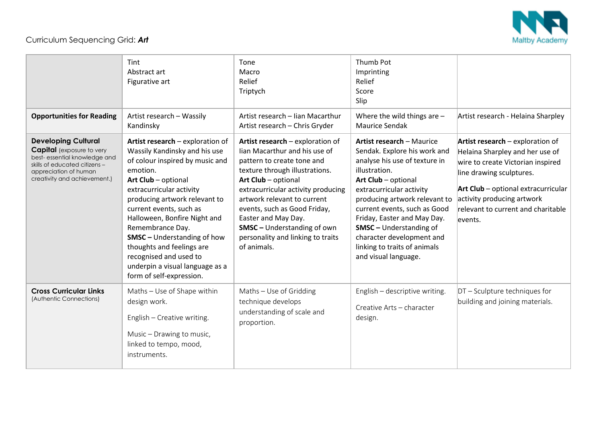

## Curriculum Sequencing Grid: *Art*

|                                                                                                                                                                                          | Tint<br>Abstract art<br>Figurative art                                                                                                                                                                                                                                                                                                                                                                                                          | Tone<br>Macro<br>Relief<br>Triptych                                                                                                                                                                                                                                                                                                                                            | Thumb Pot<br>Imprinting<br>Relief<br>Score<br>Slip                                                                                                                                                                                                                                                                                                                                           |                                                                                                                                                                                                                                                             |
|------------------------------------------------------------------------------------------------------------------------------------------------------------------------------------------|-------------------------------------------------------------------------------------------------------------------------------------------------------------------------------------------------------------------------------------------------------------------------------------------------------------------------------------------------------------------------------------------------------------------------------------------------|--------------------------------------------------------------------------------------------------------------------------------------------------------------------------------------------------------------------------------------------------------------------------------------------------------------------------------------------------------------------------------|----------------------------------------------------------------------------------------------------------------------------------------------------------------------------------------------------------------------------------------------------------------------------------------------------------------------------------------------------------------------------------------------|-------------------------------------------------------------------------------------------------------------------------------------------------------------------------------------------------------------------------------------------------------------|
| <b>Opportunities for Reading</b>                                                                                                                                                         | Artist research - Wassily<br>Kandinsky                                                                                                                                                                                                                                                                                                                                                                                                          | Artist research - Iian Macarthur<br>Artist research - Chris Gryder                                                                                                                                                                                                                                                                                                             | Where the wild things are -<br><b>Maurice Sendak</b>                                                                                                                                                                                                                                                                                                                                         | Artist research - Helaina Sharpley                                                                                                                                                                                                                          |
| <b>Developing Cultural</b><br><b>Capital</b> (exposure to very<br>best-essential knowledge and<br>skills of educated citizens –<br>appreciation of human<br>creativity and achievement.) | Artist research - exploration of<br>Wassily Kandinsky and his use<br>of colour inspired by music and<br>emotion.<br>Art Club - optional<br>extracurricular activity<br>producing artwork relevant to<br>current events, such as<br>Halloween, Bonfire Night and<br>Remembrance Day.<br><b>SMSC</b> - Understanding of how<br>thoughts and feelings are<br>recognised and used to<br>underpin a visual language as a<br>form of self-expression. | Artist research - exploration of<br>lian Macarthur and his use of<br>pattern to create tone and<br>texture through illustrations.<br>Art Club - optional<br>extracurricular activity producing<br>artwork relevant to current<br>events, such as Good Friday,<br>Easter and May Day.<br><b>SMSC</b> - Understanding of own<br>personality and linking to traits<br>of animals. | <b>Artist research - Maurice</b><br>Sendak. Explore his work and<br>analyse his use of texture in<br>illustration.<br>Art Club - optional<br>extracurricular activity<br>producing artwork relevant to<br>current events, such as Good<br>Friday, Easter and May Day.<br><b>SMSC</b> - Understanding of<br>character development and<br>linking to traits of animals<br>and visual language. | Artist research - exploration of<br>Helaina Sharpley and her use of<br>wire to create Victorian inspired<br>line drawing sculptures.<br>Art Club - optional extracurricular<br>activity producing artwork<br>relevant to current and charitable<br>levents. |
| <b>Cross Curricular Links</b><br>(Authentic Connections)                                                                                                                                 | Maths - Use of Shape within<br>design work.<br>English - Creative writing.<br>Music – Drawing to music,<br>linked to tempo, mood,<br>instruments.                                                                                                                                                                                                                                                                                               | Maths - Use of Gridding<br>technique develops<br>understanding of scale and<br>proportion.                                                                                                                                                                                                                                                                                     | English - descriptive writing.<br>Creative Arts - character<br>design.                                                                                                                                                                                                                                                                                                                       | DT - Sculpture techniques for<br>building and joining materials.                                                                                                                                                                                            |